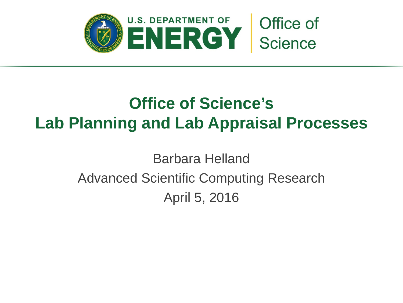

## **Office of Science's Lab Planning and Lab Appraisal Processes**

Barbara Helland Advanced Scientific Computing Research April 5, 2016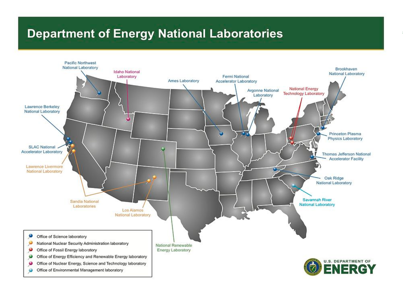#### **Department of Energy National Laboratories**

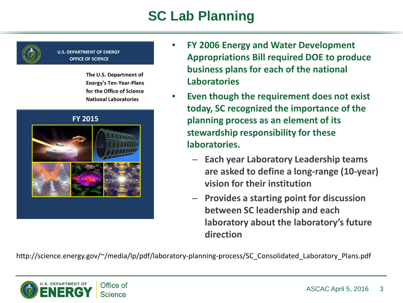## **SC Lab Planning**



#### **U.S. DEPARTMENT OF ENERGY OFFICE OF SCIENCE**

The U.S. Department of **Energy's Ten-Year-Plans** for the Office of Science **National Laboratories** 



- **FY 2006 Energy and Water Development Appropriations Bill required DOE to produce business plans for each of the national Laboratories**
- **Even though the requirement does not exist today, SC recognized the importance of the planning process as an element of its stewardship responsibility for these laboratories.**
	- **Each year Laboratory Leadership teams are asked to define a long-range (10-year) vision for their institution**
	- **Provides a starting point for discussion between SC leadership and each laboratory about the laboratory's future direction**

http://science.energy.gov/~/media/lp/pdf/laboratory-planning-process/SC\_Consolidated\_Laboratory\_Plans.pdf

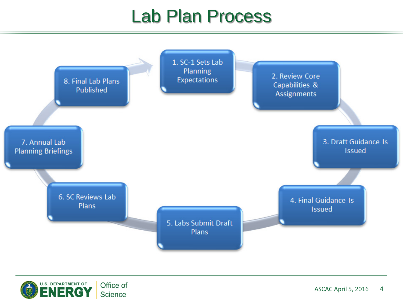## Lab Plan Process



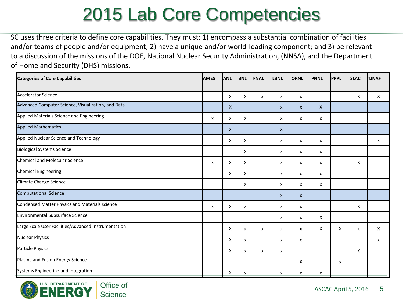# 2015 Lab Core Competencies

SC uses three criteria to define core capabilities. They must: 1) encompass a substantial combination of facilities and/or teams of people and/or equipment; 2) have a unique and/or world-leading component; and 3) be relevant to a discussion of the missions of the DOE, National Nuclear Security Administration, (NNSA), and the Department of Homeland Security (DHS) missions.

| <b>Categories of Core Capabilities</b>               | <b>AMES</b>  | <b>ANL</b>   | <b>BNL</b> | FNAL         | <b>LBNL</b>  | <b>ORNL</b>  | <b>PNNL</b> | <b>PPPL</b>  | <b>SLAC</b> | <b>TJNAF</b> |
|------------------------------------------------------|--------------|--------------|------------|--------------|--------------|--------------|-------------|--------------|-------------|--------------|
|                                                      |              |              |            |              |              |              |             |              |             |              |
| Accelerator Science                                  |              | X            | X          | $\mathsf{x}$ | X            | x            |             |              | X           | X            |
| Advanced Computer Science, Visualization, and Data   |              | X            |            |              | X            | $\mathsf{x}$ | X           |              |             |              |
| Applied Materials Science and Engineering            | $\mathsf{x}$ | X            | X          |              | X.           | x            | x           |              |             |              |
| <b>Applied Mathematics</b>                           |              | $\mathsf{X}$ |            |              | $\mathsf{X}$ |              |             |              |             |              |
| Applied Nuclear Science and Technology               |              | X            | X          |              | x            | x            | x           |              |             | x            |
| <b>Biological Systems Science</b>                    |              |              | X          |              | x            | X            | x           |              |             |              |
| Chemical and Molecular Science                       | x            | X            | X          |              | X            | X            | x           |              | X           |              |
| Chemical Engineering                                 |              | X            | X          |              | x            | X            | x           |              |             |              |
| Climate Change Science                               |              |              | X          |              | x            | X            | x           |              |             |              |
| Computational Science                                |              |              |            |              | $\mathsf{x}$ | $\mathsf{x}$ |             |              |             |              |
| Condensed Matter Physics and Materials science       | x            | X            | X          |              | X            | X            |             |              | X           |              |
| Environmental Subsurface Science                     |              |              |            |              | X            | x            | X           |              |             |              |
| Large Scale User Facilities/Advanced Instrumentation |              | X            | X          | $\mathsf{x}$ | X            | x            | X           | $\mathsf{x}$ | x           | X            |
| Nuclear Physics                                      |              | X            | x          |              | X            | x            |             |              |             | X            |
| Particle Physics                                     |              | X            | X          | X            | x            |              |             |              | X           |              |
| Plasma and Fusion Energy Science                     |              |              |            |              |              | X            |             | x            |             |              |
| Systems Engineering and Integration                  |              | X            | x          |              | x            | X            | X           |              |             |              |

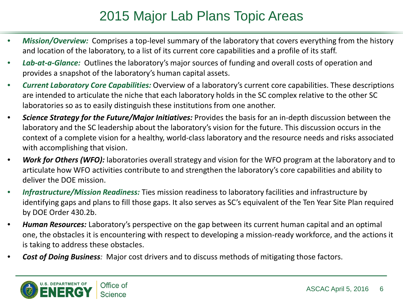#### 2015 Major Lab Plans Topic Areas

- *Mission/Overview:* Comprises a top-level summary of the laboratory that covers everything from the history and location of the laboratory, to a list of its current core capabilities and a profile of its staff.
- *Lab-at-a-Glance:* Outlines the laboratory's major sources of funding and overall costs of operation and provides a snapshot of the laboratory's human capital assets.
- *Current Laboratory Core Capabilities:* Overview of a laboratory's current core capabilities. These descriptions are intended to articulate the niche that each laboratory holds in the SC complex relative to the other SC laboratories so as to easily distinguish these institutions from one another.
- *Science Strategy for the Future/Major Initiatives:* Provides the basis for an in-depth discussion between the laboratory and the SC leadership about the laboratory's vision for the future. This discussion occurs in the context of a complete vision for a healthy, world-class laboratory and the resource needs and risks associated with accomplishing that vision.
- *Work for Others (WFO):* laboratories overall strategy and vision for the WFO program at the laboratory and to articulate how WFO activities contribute to and strengthen the laboratory's core capabilities and ability to deliver the DOE mission.
- *Infrastructure/Mission Readiness:* Ties mission readiness to laboratory facilities and infrastructure by identifying gaps and plans to fill those gaps. It also serves as SC's equivalent of the Ten Year Site Plan required by DOE Order 430.2b.
- *Human Resources:* Laboratory's perspective on the gap between its current human capital and an optimal one, the obstacles it is encountering with respect to developing a mission-ready workforce, and the actions it is taking to address these obstacles.
- **Cost of Doing Business**: Major cost drivers and to discuss methods of mitigating those factors.

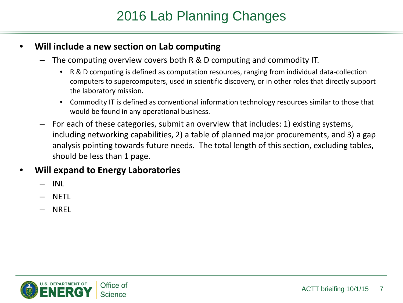### 2016 Lab Planning Changes

#### • **Will include a new section on Lab computing**

- The computing overview covers both R & D computing and commodity IT.
	- R & D computing is defined as computation resources, ranging from individual data-collection computers to supercomputers, used in scientific discovery, or in other roles that directly support the laboratory mission.
	- Commodity IT is defined as conventional information technology resources similar to those that would be found in any operational business.
- For each of these categories, submit an overview that includes: 1) existing systems, including networking capabilities, 2) a table of planned major procurements, and 3) a gap analysis pointing towards future needs. The total length of this section, excluding tables, should be less than 1 page.

#### • **Will expand to Energy Laboratories**

- INL
- NETL
- NREL

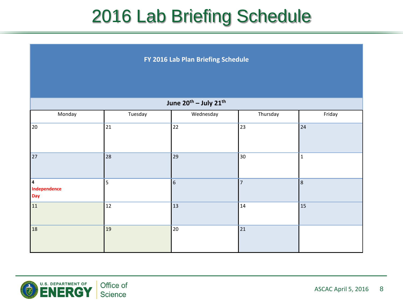## 2016 Lab Briefing Schedule

**FY 2016 Lab Plan Briefing Schedule**

| June 20 <sup>th</sup> - July 21 <sup>th</sup> |         |           |                |             |  |  |  |  |  |
|-----------------------------------------------|---------|-----------|----------------|-------------|--|--|--|--|--|
| Monday                                        | Tuesday | Wednesday | Thursday       | Friday      |  |  |  |  |  |
| 20                                            | 21      | 22        | 23             | 24          |  |  |  |  |  |
| 27                                            | 28      | 29        | 30             | $\mathbf 1$ |  |  |  |  |  |
| 4<br>Independence<br>Day                      | 5       | 6         | $\overline{7}$ | 8           |  |  |  |  |  |
| 11                                            | 12      | 13        | 14             | 15          |  |  |  |  |  |
| 18                                            | 19      | 20        | 21             |             |  |  |  |  |  |

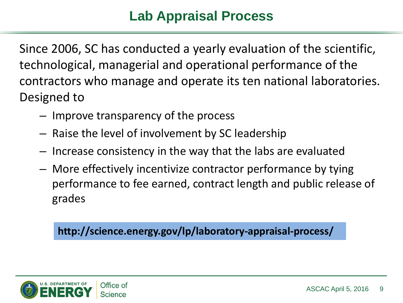### **Lab Appraisal Process**

Since 2006, SC has conducted a yearly evaluation of the scientific, technological, managerial and operational performance of the contractors who manage and operate its ten national laboratories. Designed to

- Improve transparency of the process
- Raise the level of involvement by SC leadership
- Increase consistency in the way that the labs are evaluated
- More effectively incentivize contractor performance by tying performance to fee earned, contract length and public release of grades

**http://science.energy.gov/lp/laboratory-appraisal-process/**

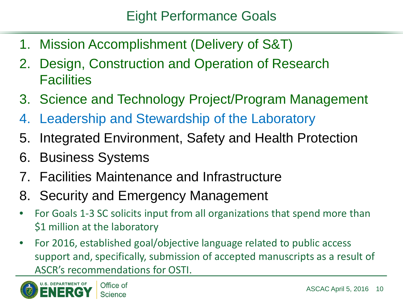- 1. Mission Accomplishment (Delivery of S&T)
- 2. Design, Construction and Operation of Research **Facilities**
- 3. Science and Technology Project/Program Management
- 4. Leadership and Stewardship of the Laboratory
- 5. Integrated Environment, Safety and Health Protection
- 6. Business Systems
- 7. Facilities Maintenance and Infrastructure
- 8. Security and Emergency Management
- For Goals 1-3 SC solicits input from all organizations that spend more than \$1 million at the laboratory
- For 2016, established goal/objective language related to public access support and, specifically, submission of accepted manuscripts as a result of ASCR's recommendations for OSTI.

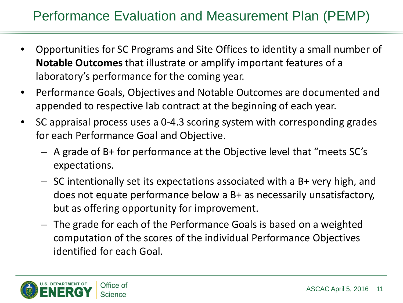## Performance Evaluation and Measurement Plan (PEMP)

- Opportunities for SC Programs and Site Offices to identity a small number of **Notable Outcomes** that illustrate or amplify important features of a laboratory's performance for the coming year.
- Performance Goals, Objectives and Notable Outcomes are documented and appended to respective lab contract at the beginning of each year.
- SC appraisal process uses a 0-4.3 scoring system with corresponding grades for each Performance Goal and Objective.
	- A grade of B+ for performance at the Objective level that "meets SC's expectations.
	- SC intentionally set its expectations associated with a B+ very high, and does not equate performance below a B+ as necessarily unsatisfactory, but as offering opportunity for improvement.
	- The grade for each of the Performance Goals is based on a weighted computation of the scores of the individual Performance Objectives identified for each Goal.

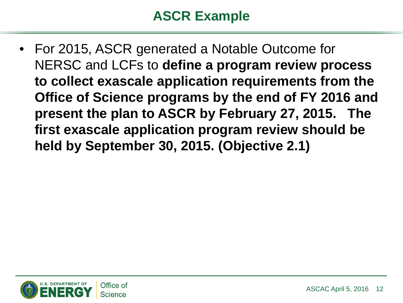#### **ASCR Example**

• For 2015, ASCR generated a Notable Outcome for NERSC and LCFs to **define a program review process to collect exascale application requirements from the Office of Science programs by the end of FY 2016 and present the plan to ASCR by February 27, 2015. The first exascale application program review should be held by September 30, 2015. (Objective 2.1)**